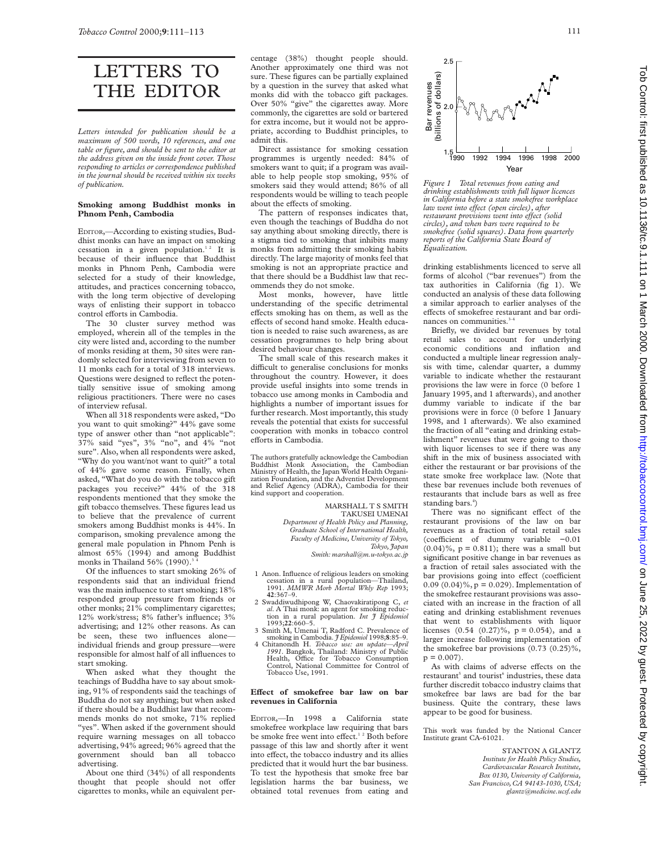# LETTERS TO THE EDITOR

*Letters intended for publication should be a maximum of 500 words, 10 references, and one table or figure, and should be sent to the editor at the address given on the inside front cover. Those responding to articles or correspondence published in the journal should be received within six weeks of publication.*

## **Smoking among Buddhist monks in Phnom Penh, Cambodia**

EDITOR,—According to existing studies, Buddhist monks can have an impact on smoking cessation in a given population.<sup>12</sup> It is because of their influence that Buddhist monks in Phnom Penh, Cambodia were selected for a study of their knowledge, attitudes, and practices concerning tobacco, with the long term objective of developing ways of enlisting their support in tobacco control efforts in Cambodia.

The 30 cluster survey method was employed, wherein all of the temples in the city were listed and, according to the number of monks residing at them, 30 sites were randomly selected for interviewing from seven to 11 monks each for a total of 318 interviews. Questions were designed to reflect the potentially sensitive issue of smoking among religious practitioners. There were no cases of interview refusal.

When all 318 respondents were asked, "Do you want to quit smoking?" 44% gave some type of answer other than "not applicable": 37% said "yes", 3% "no", and 4% "not sure". Also, when all respondents were asked, "Why do you want/not want to quit?" a total of 44% gave some reason. Finally, when asked, "What do you do with the tobacco gift packages you receive?" 44% of the 318 respondents mentioned that they smoke the gift tobacco themselves. These figures lead us to believe that the prevalence of current smokers among Buddhist monks is 44%. In comparison, smoking prevalence among the general male population in Phnom Penh is almost 65% (1994) and among Buddhist monks in Thailand 56% (1990). $3$ 

Of the influences to start smoking 26% of respondents said that an individual friend was the main influence to start smoking; 18% responded group pressure from friends or other monks; 21% complimentary cigarettes; 12% work/stress; 8% father's influence; 3% advertising; and 12% other reasons. As can be seen, these two influences alone individual friends and group pressure—were responsible for almost half of all influences to start smoking.

When asked what they thought the teachings of Buddha have to say about smoking, 91% of respondents said the teachings of Buddha do not say anything; but when asked if there should be a Buddhist law that recommends monks do not smoke, 71% replied "yes". When asked if the government should require warning messages on all tobacco advertising, 94% agreed; 96% agreed that the government should ban all tobacco advertising.

About one third (34%) of all respondents thought that people should not offer cigarettes to monks, while an equivalent percentage (38%) thought people should. Another approximately one third was not sure. These figures can be partially explained by a question in the survey that asked what monks did with the tobacco gift packages. Over 50% "give" the cigarettes away. More commonly, the cigarettes are sold or bartered for extra income, but it would not be appropriate, according to Buddhist principles, to admit this.

Direct assistance for smoking cessation programmes is urgently needed: 84% of smokers want to quit; if a program was available to help people stop smoking, 95% of smokers said they would attend; 86% of all respondents would be willing to teach people about the effects of smoking.

The pattern of responses indicates that, even though the teachings of Buddha do not say anything about smoking directly, there is a stigma tied to smoking that inhibits many monks from admitting their smoking habits directly. The large majority of monks feel that smoking is not an appropriate practice and that there should be a Buddhist law that recommends they do not smoke.

Most monks, however, have little understanding of the specific detrimental effects smoking has on them, as well as the effects of second hand smoke. Health education is needed to raise such awareness, as are cessation programmes to help bring about desired behaviour changes.

The small scale of this research makes it difficult to generalise conclusions for monks throughout the country. However, it does provide useful insights into some trends in tobacco use among monks in Cambodia and highlights a number of important issues for further research. Most importantly, this study reveals the potential that exists for successful cooperation with monks in tobacco control efforts in Cambodia.

The authors gratefully acknowledge the Cambodian Buddhist Monk Association, the Cambodian Ministry of Health, the Japan World Health Organi-zation Foundation, and the Adventist Development and Relief Agency (ADRA), Cambodia for their kind support and cooperation.

> MARSHALL T S SMITH TAKUSEI UMENAI *Department of Health Policy and Planning, Graduate School of International Health, Faculty of Medicine, University of Tokyo, Tokyo, Japan Smith: marshall@m.u-tokyo.ac.jp*

- 1 Anon. Influence of religious leaders on smoking cessation in a rural population—Thailand, 1991. *MMWR Morb Mortal Wkly Rep* 1993; **42**:367–9.
- 2 Swaddiwudhipong W, Chaovakiratipong C, *et al*. A Thai monk: an agent for smoking reduc-tion in a rural population. *Int J Epidemiol*
- 1993;**22**:660–5. 3 Smith M, Umenai T, Radford C. Prevalence of
- smoking in Cambodia. *J Epidemiol* 1998;**8**:85–9. 4 Chitanondh H. *Tobacco use: an update—April* 1991. Bangkok, Thailand: Ministry of Public<br>Health, Office for Tobacco Consumption<br>Control, National Committee for Control of Tobacco Use, 1991.

#### Effect of smokefree bar law on bar **revenues in California**

EDITOR,—In 1998 a California state smokefree workplace law requiring that bars be smoke free went into effect.<sup>12</sup> Both before passage of this law and shortly after it went into effect, the tobacco industry and its allies predicted that it would hurt the bar business. To test the hypothesis that smoke free bar legislation harms the bar business, we obtained total revenues from eating and



*Figure 1 Total revenues from eating and drinking establishments with full liquor licences in California before a state smokefree workplace law went into eVect (open circles), after restaurant provisions went into effect (solid circles), and when bars were required to be smokefree (solid squares). Data from quarterly reports of the California State Board of Equalization.*

drinking establishments licenced to serve all forms of alcohol ("bar revenues") from the tax authorities in California (fig 1). We conducted an analysis of these data following a similar approach to earlier analyses of the effects of smokefree restaurant and bar ordinances on communities.<sup>3-4</sup>

Briefly, we divided bar revenues by total retail sales to account for underlying economic conditions and inflation and conducted a multiple linear regression analysis with time, calendar quarter, a dummy variable to indicate whether the restaurant provisions the law were in force (0 before 1 January 1995, and 1 afterwards), and another dummy variable to indicate if the bar provisions were in force (0 before 1 January 1998, and 1 afterwards). We also examined the fraction of all "eating and drinking establishment" revenues that were going to those with liquor licenses to see if there was any shift in the mix of business associated with either the restaurant or bar provisions of the state smoke free workplace law. (Note that these bar revenues include both revenues of restaurants that include bars as well as free standing bars.<sup>4</sup>)

There was no significant effect of the restaurant provisions of the law on bar revenues as a fraction of total retail sales (coefficient of dummy variable -0.01  $(0.04)$ %,  $p = 0.811$ ; there was a small but significant positive change in bar revenues as a fraction of retail sales associated with the bar provisions going into effect (coefficient  $0.09(0.04)\%$ ,  $p = 0.029$ ). Implementation of the smokefree restaurant provisions was associated with an increase in the fraction of all eating and drinking establishment revenues that went to establishments with liquor licenses  $(0.54 (0.27)\%, p = 0.054)$ , and a larger increase following implementation of the smokefree bar provisions (0.73 (0.25)%,  $p = 0.007$ .

As with claims of adverse effects on the restaurant<sup>5</sup> and tourist<sup>6</sup> industries, these data further discredit tobacco industry claims that smokefree bar laws are bad for the bar business. Quite the contrary, these laws appear to be good for business.

This work was funded by the National Cancer Institute grant CA-61021.

> STANTON A GLANTZ *Institute for Health Policy Studies, Cardiovascular Research Institute, Box 0130, University of California, San Francisco, CA 94143-1030, USA; glantz@medicine.ucsf.edu*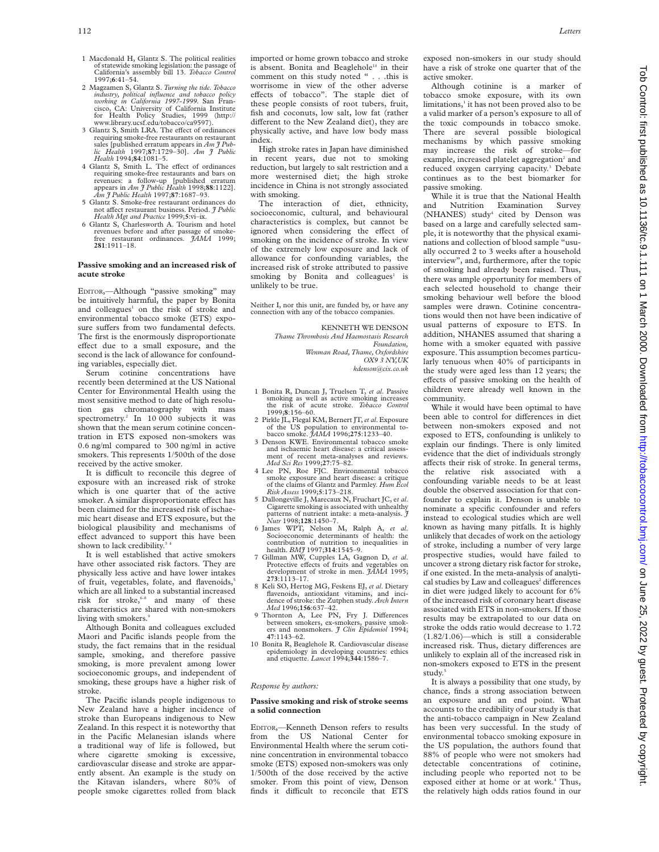- 2 Magzamen S, Glantz S. *Turning the tide. Tobacco industry, political influence and tobacco policy working in California 1997-1999.* San Francisco, CA: University of California Institute for Health Policy Studies, 1999 (http:// www.library.ucsf.edu/tobacco/ca9597).
- 3 Glantz S, Smith LRA. The effect of ordinances requiring smoke-free restaurants on restaurant sales [published erratum appears in *Am J Public Health* 1997;**87**:1729–30]. *Am J Public Health* 1994;**84**:1081–5.
- 4 Glantz S, Smith L. The effect of ordinances requiring smoke-free restaurants and bars on revenues: a follow-up [published erratum appears in *Am J Public Health* 1998;**88**:1122]. *Am J Public Health* 1997;**87**:1687–93.
- 5 Glantz S. Smoke-free restaurant ordinances do not affect restaurant business. Period. *J Public Health Mgt and Practice* 1999;**5**:vi–ix.
- 6 Glantz S, Charlesworth A. Tourism and hotel revenues before and after passage of smoke-free restaurant ordinances. *JAMA* 1999; **281**:1911–18.

### **Passive smoking and an increased risk of acute stroke**

EDITOR,—Although "passive smoking" may be intuitively harmful, the paper by Bonita and colleagues<sup>1</sup> on the risk of stroke and environmental tobacco smoke (ETS) exposure suffers from two fundamental defects. The first is the enormously disproportionate effect due to a small exposure, and the second is the lack of allowance for confounding variables, especially diet.

Serum cotinine concentrations have recently been determined at the US National Center for Environmental Health using the most sensitive method to date of high resolution gas chromatography with mass spectrometry.<sup>2</sup> In 10 000 subjects it was shown that the mean serum cotinine concentration in ETS exposed non-smokers was 0.6 ng/ml compared to 300 ng/ml in active smokers. This represents 1/500th of the dose received by the active smoker.

It is difficult to reconcile this degree of exposure with an increased risk of stroke which is one quarter that of the active smoker. A similar disproportionate effect has been claimed for the increased risk of ischaemic heart disease and ETS exposure, but the biological plausibility and mechanisms of effect advanced to support this have been shown to lack credibility.<sup>3</sup>

It is well established that active smokers have other associated risk factors. They are physically less active and have lower intakes of fruit, vegetables, folate, and flavenoids,<sup>5</sup> which are all linked to a substantial increased risk for stroke, $6-8$  and many of these characteristics are shared with non-smokers living with smokers.<sup>9</sup>

Although Bonita and colleagues excluded Maori and Pacific islands people from the study, the fact remains that in the residual sample, smoking, and therefore passive smoking, is more prevalent among lower socioeconomic groups, and independent of smoking, these groups have a higher risk of stroke.

The Pacific islands people indigenous to New Zealand have a higher incidence of stroke than Europeans indigenous to New Zealand. In this respect it is noteworthy that in the Pacific Melanesian islands where a traditional way of life is followed, but where cigarette smoking is excessive, cardiovascular disease and stroke are apparently absent. An example is the study on the Kitavan islanders, where 80% of people smoke cigarettes rolled from black

imported or home grown tobacco and stroke is absent. Bonita and Beaglehole<sup>10</sup> in their comment on this study noted " . . .this is worrisome in view of the other adverse effects of tobacco". The staple diet of these people consists of root tubers, fruit, fish and coconuts, low salt, low fat (rather different to the New Zealand diet), they are physically active, and have low body mass index.

High stroke rates in Japan have diminished in recent years, due not to smoking reduction, but largely to salt restriction and a more westernised diet; the high stroke incidence in China is not strongly associated with smoking.

The interaction of diet, ethnicity, socioeconomic, cultural, and behavioural characteristics is complex, but cannot be ignored when considering the effect of smoking on the incidence of stroke. In view of the extremely low exposure and lack of allowance for confounding variables, the increased risk of stroke attributed to passive smoking by Bonita and colleagues<sup>1</sup> is unlikely to be true.

Neither I, nor this unit, are funded by, or have any connection with any of the tobacco companies.

> KENNETH WE DENSON *Thame Thrombosis And Haemostasis Research Foundation, Wenman Road, Thame, Oxfordshire*

*OX9 3 NY,UK kdenson@cix.co.uk*

- 1 Bonita R, Duncan J, Truelsen T, *et al*. Passive smoking as well as active smoking increases the risk of acute stroke. *Tobacco Control* 1999;**8**:156–60.
- 2 Pirkle JL, Flegal KM, Bernert JT,*et al*. Exposure of the US population to environmental to-bacco smoke. *JAMA* 1996;**275**:1233–40.
- 3 Denson KWE. Environmental tobacco smoke and ischaemic heart disease: a critical assessment of recent meta-analyses and reviews. *Med Sci Res* 1999;**27**:75–82.
- 4 Lee PN, Roe FJC. Environmental tobacco smoke exposure and heart disease: a critique of the claims of Glantz and Parmley. *Hum Ecol Risk Assess* 1999;**5**:173–218.
- 5 Dallongeville J, Marecaux N, Fruchart JC, e*t al*. Cigarette smoking is associated with unhealthy patterns of nutrient intake: a meta-analysis. *J Nutr* 1998;**128**:1450–7.
- 6 James WPT, Nelson M, Ralph A, *et al*. Socioeconomic determinants of health: the contribution of nutrition to inequalities in health. *BMJ* 1997;**314**:1545–9.
- 7 Gillman MW, Cupples LA, Gagnon D, *et al.* Protective effects of fruits and vegetables on development of stroke in men. *JAMA* 1995; **273**:1113–17.
- 8 Keli SO, Hertog MG, Feskens EJ, *et al*. Dietary flavenoids, antioxidant vitamins, and inci-dence of stroke: the Zutphen study. *Arch Intern Med* 1996;**156**:637–42.
- 9 Thornton A, Lee PN, Fry J. Differences between smokers, ex-smokers, passive smok-ers and nonsmokers. *J Clin Epidemiol* 1994; **47**:1143–62.
- 10 Bonita R, Beaglehole R. Cardiovascular disease epidemiology in developing countries: ethics and etiquette. *Lancet* 1994;**344**:1586–7.

#### *Response by authors:*

#### **Passive smoking and risk of stroke seems a solid connection**

EDITOR,—Kenneth Denson refers to results from the US National Center for Environmental Health where the serum cotinine concentration in environmental tobacco smoke (ETS) exposed non-smokers was only 1/500th of the dose received by the active smoker. From this point of view, Denson finds it difficult to reconcile that ETS

exposed non-smokers in our study should have a risk of stroke one quarter that of the active smoker.

Although cotinine is a marker of tobacco smoke exposure, with its own limitations,<sup>1</sup> it has not been proved also to be a valid marker of a person's exposure to all of the toxic compounds in tobacco smoke. There are several possible biological mechanisms by which passive smoking may increase the risk of stroke—for example, increased platelet aggregation<sup>2</sup> and reduced oxygen carrying capacity.<sup>3</sup> Debate continues as to the best biomarker for passive smoking.

While it is true that the National Health and Nutrition Examination Survey (NHANES) study<sup>4</sup> cited by Denson was based on a large and carefully selected sample, it is noteworthy that the physical examinations and collection of blood sample "usually occurred 2 to 3 weeks after a household interview", and, furthermore, after the topic of smoking had already been raised. Thus, there was ample opportunity for members of each selected household to change their smoking behaviour well before the blood samples were drawn. Cotinine concentrations would then not have been indicative of usual patterns of exposure to ETS. In addition, NHANES assumed that sharing a home with a smoker equated with passive exposure. This assumption becomes particularly tenuous when 40% of participants in the study were aged less than 12 years; the effects of passive smoking on the health of children were already well known in the community.

While it would have been optimal to have been able to control for differences in diet between non-smokers exposed and not exposed to ETS, confounding is unlikely to explain our findings. There is only limited evidence that the diet of individuals strongly affects their risk of stroke. In general terms, the relative risk associated with a confounding variable needs to be at least double the observed association for that confounder to explain it. Denson is unable to nominate a specific confounder and refers instead to ecological studies which are well known as having many pitfalls. It is highly unlikely that decades of work on the aetiology of stroke, including a number of very large prospective studies, would have failed to uncover a strong dietary risk factor for stroke, if one existed. In the meta-analysis of analytical studies by Law and colleagues<sup>2</sup> differences in diet were judged likely to account for 6% of the increased risk of coronary heart disease associated with ETS in non-smokers. If those results may be extrapolated to our data on stroke the odds ratio would decrease to 1.72 (1.82/1.06)—which is still a considerable increased risk. Thus, dietary differences are unlikely to explain all of the increased risk in non-smokers exposed to ETS in the present study.<sup>5</sup>

It is always a possibility that one study, by chance, finds a strong association between an exposure and an end point. What accounts to the credibility of our study is that the anti-tobacco campaign in New Zealand has been very successful. In the study of environmental tobacco smoking exposure in the US population, the authors found that 88% of people who were not smokers had detectable concentrations of cotinine, including people who reported not to be exposed either at home or at work.<sup>4</sup> Thus, the relatively high odds ratios found in our